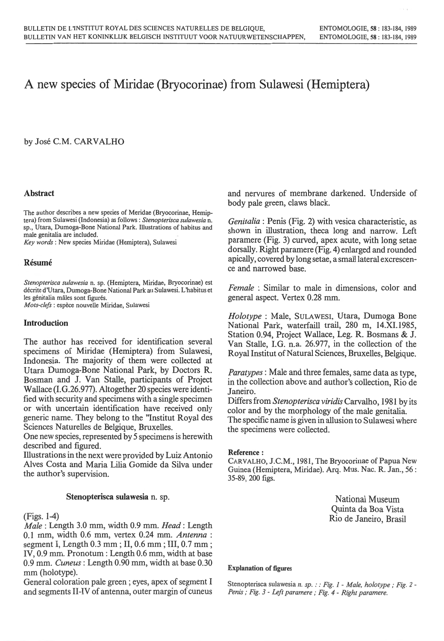''

# A new species of Miridae (Bryocorinae) from Sulawesi (Hemiptera)

by Jose C.M. CARVALHO

# Abstract

The author describes a new species of Meridae (Bryocorinae, Hemip- tera) from Sulawesi (Indonesia) as follows: *Stenopterisca sulawesia* n. sp., Utara, Dumoga-Bone National Park. Illustrations of habitus and male genitalia are included.

*Key words* : New species Miridae (Hemiptera), Sulawesi

## Résumé

*Stenopterisca sulawesia* n. sp. (Hemiptera, Miridae, Bryocorinae) est decrite d'Utara, Dumoga-Bone National Park au Sulawesi. L 'habitus et les génitalia mâles sont figurés. *Mots-clefs* : espece nouvelle Miridae, Sulawesi

## Introduction

The author has received for identification several specimens of Miridae (Hemiptera) from Sulawesi, Indonesia. The majority of them were collected at Utara Dumoga-Bone National Park, by Doctors R. Bosman and J. Van Stalle, participants of Project Wallace (I.G.26.977). Altogether 20 species were identified with security and specimens with a single specimen or with uncertain identification have received only generic name. They belong to the "Institut Royal des Sciences Naturelles de Belgique, Bruxelles.

One new species, represented by 5 specimens is herewith described and figured.

Illustrations in the next were provided by Luiz Antonio Alves Costa and Maria Lilia Gomide da Silva under the author's supervision.

#### Stenopterisca sulawesia n. sp.

## (Figs. 1-4)

*Male* : Length 3.0 mm, width 0.9 mm. *Head:* Length 0.1 mm, width 0.6 mm, vertex 0.24 mm. *Antenna* : segment I, Length 0.3 mm ; II, 0.6 mm; III, 0.7 mm ; IV, 0.9 mm. Pronotum: Length 0.6 mm, width at base 0.9 mm. *Cuneus:* Length 0.90 mm, width at base 0.30 mm (holotype).

General coloration pale green ; eyes, apex of segment I and segments II-IV of antenna, outer margin of cuneus and nervures of membrane darkened. Underside of body pale green, claws black.

*Genitalia* : Penis (Fig. 2) with vesica characteristic, as shown in illustration, theca long and narrow. Left paramere (Fig. 3) curved, apex acute, with long setae dorsally. Right paramere (Fig. 4) enlarged and rounded apically, covered by long setae, a small lateral excrescence and narrowed base.

*Female* : Similar to male in dimensions, color and general aspect. Vertex 0.28 mm.

*Holotype* : Male, SULAWESI, Utara, Dumoga Bone National Park, waterfaill trail, 280 m, 14.XI.1985, Station 0.94, Project Wallace, Leg. R. Bosmans & J. Van Stalle, I.G. n.a. 26.977, in the collection of the Royal Institut of Natural Sciences, Bruxelles, Belgique.

*Paratypes* : Male and three females, same data as type, in the collection above and author's collection, Rio de Janeiro.

Differs from *Stenopterisca viridis* Carvalho, 1981 by its color and by the morphology of the male genitalia. The specific name is given in allusion to Sulawesi where the specimens were collected.

#### Reference:

CARVALHO, J.C.M., 1981, The Bryocorinae of Papua New Guinea (Hemiptera, Miridae). Arq. Mus. Nac. R. Jan., 56 : 35-89, 200 figs.

> National Museum Quinta da Boa Vista Rio de Janeiro, Brasil

#### Explanation of figures

Stenopterisca sulawesia *n. sp. ::Fig. 1 - Male, holotype ; Fig. 2- Penis; Fig. 3* - *Left paramere; Fig. 4* - *Right paramere.*